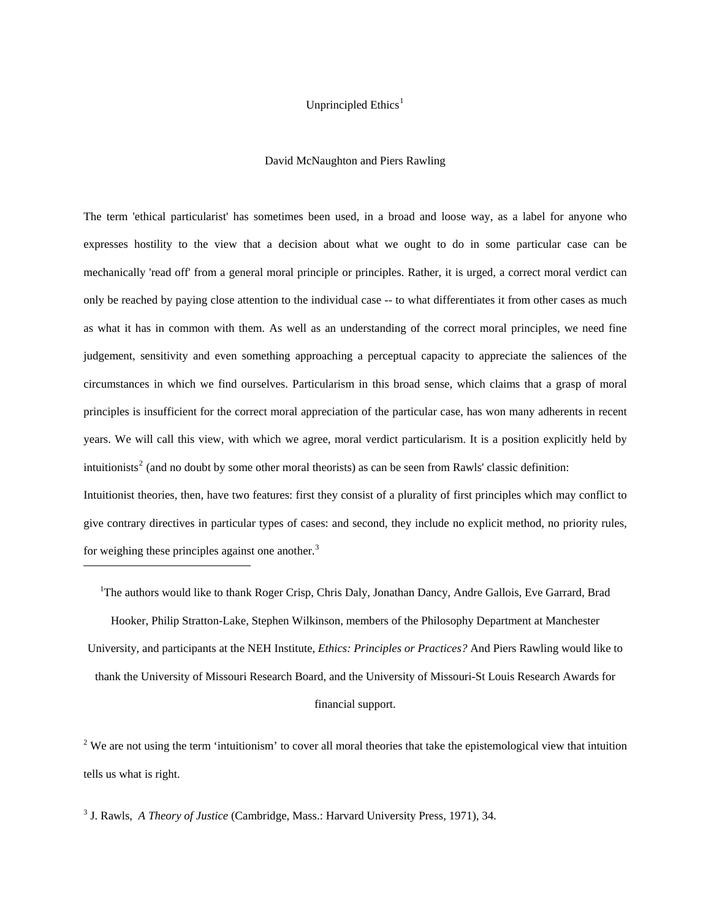# Unprincipled Ethics $<sup>1</sup>$  $<sup>1</sup>$  $<sup>1</sup>$ </sup>

## David McNaughton and Piers Rawling

The term 'ethical particularist' has sometimes been used, in a broad and loose way, as a label for anyone who expresses hostility to the view that a decision about what we ought to do in some particular case can be mechanically 'read off' from a general moral principle or principles. Rather, it is urged, a correct moral verdict can only be reached by paying close attention to the individual case -- to what differentiates it from other cases as much as what it has in common with them. As well as an understanding of the correct moral principles, we need fine judgement, sensitivity and even something approaching a perceptual capacity to appreciate the saliences of the circumstances in which we find ourselves. Particularism in this broad sense, which claims that a grasp of moral principles is insufficient for the correct moral appreciation of the particular case, has won many adherents in recent years. We will call this view, with which we agree, moral verdict particularism. It is a position explicitly held by intuitionists<sup>[2](#page-0-1)</sup> (and no doubt by some other moral theorists) as can be seen from Rawls' classic definition: Intuitionist theories, then, have two features: first they consist of a plurality of first principles which may conflict to give contrary directives in particular types of cases: and second, they include no explicit method, no priority rules, for weighing these principles against one another. $3$ 

<span id="page-0-0"></span><sup>1</sup>The authors would like to thank Roger Crisp, Chris Daly, Jonathan Dancy, Andre Gallois, Eve Garrard, Brad Hooker, Philip Stratton-Lake, Stephen Wilkinson, members of the Philosophy Department at Manchester University, and participants at the NEH Institute, *Ethics: Principles or Practices?* And Piers Rawling would like to thank the University of Missouri Research Board, and the University of Missouri-St Louis Research Awards for

### financial support.

<span id="page-0-2"></span>3 J. Rawls, *A Theory of Justice* (Cambridge, Mass.: Harvard University Press, 1971), 34.

<span id="page-0-1"></span> $2^2$  We are not using the term 'intuitionism' to cover all moral theories that take the epistemological view that intuition tells us what is right.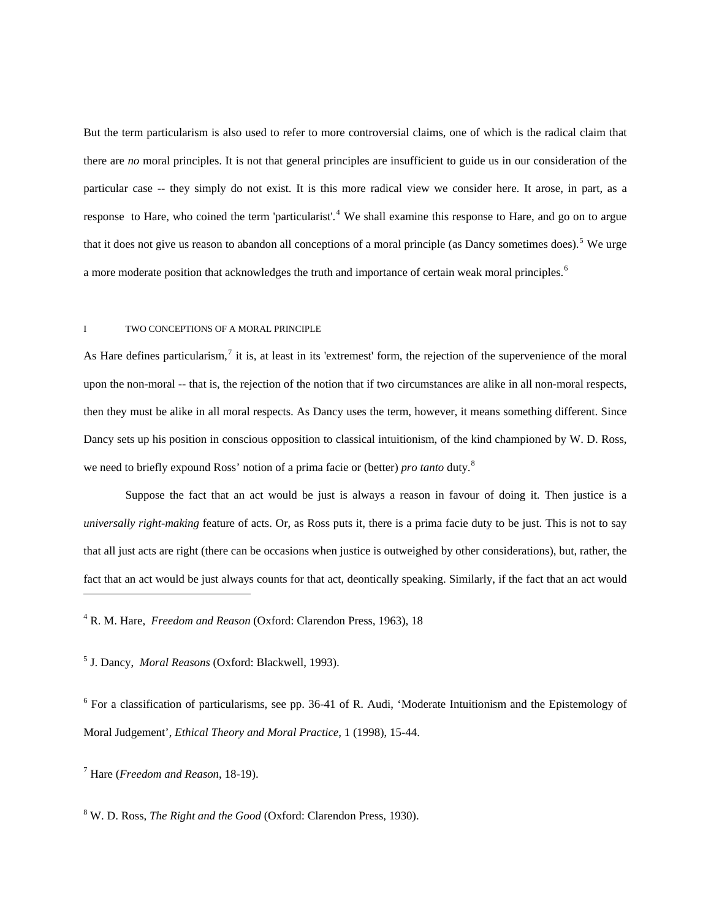But the term particularism is also used to refer to more controversial claims, one of which is the radical claim that there are *no* moral principles. It is not that general principles are insufficient to guide us in our consideration of the particular case -- they simply do not exist. It is this more radical view we consider here. It arose, in part, as a response to Hare, who coined the term 'particularist'.<sup>[4](#page-1-0)</sup> We shall examine this response to Hare, and go on to argue that it does not give us reason to abandon all conceptions of a moral principle (as Dancy sometimes does).<sup>[5](#page-1-1)</sup> We urge a more moderate position that acknowledges the truth and importance of certain weak moral principles.<sup>[6](#page-1-2)</sup>

### I TWO CONCEPTIONS OF A MORAL PRINCIPLE

As Hare defines particularism,<sup>[7](#page-1-3)</sup> it is, at least in its 'extremest' form, the rejection of the supervenience of the moral upon the non-moral -- that is, the rejection of the notion that if two circumstances are alike in all non-moral respects, then they must be alike in all moral respects. As Dancy uses the term, however, it means something different. Since Dancy sets up his position in conscious opposition to classical intuitionism, of the kind championed by W. D. Ross, we need to briefly expound Ross' notion of a prima facie or (better) *pro tanto* duty.[8](#page-1-4)

 Suppose the fact that an act would be just is always a reason in favour of doing it. Then justice is a *universally right-making* feature of acts. Or, as Ross puts it, there is a prima facie duty to be just. This is not to say that all just acts are right (there can be occasions when justice is outweighed by other considerations), but, rather, the fact that an act would be just always counts for that act, deontically speaking. Similarly, if the fact that an act would

<span id="page-1-0"></span>4 R. M. Hare, *Freedom and Reason* (Oxford: Clarendon Press, 1963), 18

<span id="page-1-1"></span>5 J. Dancy, *Moral Reasons* (Oxford: Blackwell, 1993).

<span id="page-1-2"></span><sup>6</sup> For a classification of particularisms, see pp. 36-41 of R. Audi, 'Moderate Intuitionism and the Epistemology of Moral Judgement', *Ethical Theory and Moral Practice*, 1 (1998), 15-44.

<span id="page-1-3"></span>7 Hare (*Freedom and Reason*, 18-19).

l

<span id="page-1-4"></span>8 W. D. Ross, *The Right and the Good* (Oxford: Clarendon Press, 1930).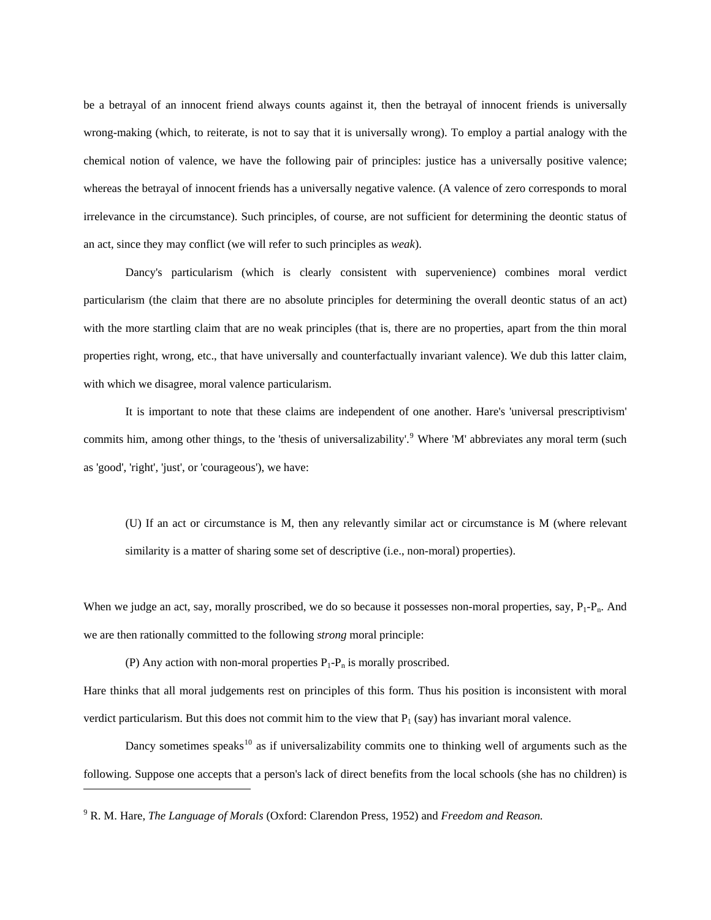be a betrayal of an innocent friend always counts against it, then the betrayal of innocent friends is universally wrong-making (which, to reiterate, is not to say that it is universally wrong). To employ a partial analogy with the chemical notion of valence, we have the following pair of principles: justice has a universally positive valence; whereas the betrayal of innocent friends has a universally negative valence. (A valence of zero corresponds to moral irrelevance in the circumstance). Such principles, of course, are not sufficient for determining the deontic status of an act, since they may conflict (we will refer to such principles as *weak*).

 Dancy's particularism (which is clearly consistent with supervenience) combines moral verdict particularism (the claim that there are no absolute principles for determining the overall deontic status of an act) with the more startling claim that are no weak principles (that is, there are no properties, apart from the thin moral properties right, wrong, etc., that have universally and counterfactually invariant valence). We dub this latter claim, with which we disagree, moral valence particularism.

 It is important to note that these claims are independent of one another. Hare's 'universal prescriptivism' commits him, among other things, to the 'thesis of universalizability'.<sup>[9](#page-2-0)</sup> Where 'M' abbreviates any moral term (such as 'good', 'right', 'just', or 'courageous'), we have:

(U) If an act or circumstance is M, then any relevantly similar act or circumstance is M (where relevant similarity is a matter of sharing some set of descriptive (i.e., non-moral) properties).

When we judge an act, say, morally proscribed, we do so because it possesses non-moral properties, say,  $P_1-P_n$ . And we are then rationally committed to the following *strong* moral principle:

(P) Any action with non-moral properties  $P_1-P_n$  is morally proscribed.

Hare thinks that all moral judgements rest on principles of this form. Thus his position is inconsistent with moral verdict particularism. But this does not commit him to the view that  $P_1$  (say) has invariant moral valence.

<span id="page-2-1"></span>Dancy sometimes speaks<sup>[10](#page-2-1)</sup> as if universalizability commits one to thinking well of arguments such as the following. Suppose one accepts that a person's lack of direct benefits from the local schools (she has no children) is

<span id="page-2-0"></span>9 R. M. Hare, *The Language of Morals* (Oxford: Clarendon Press, 1952) and *Freedom and Reason.*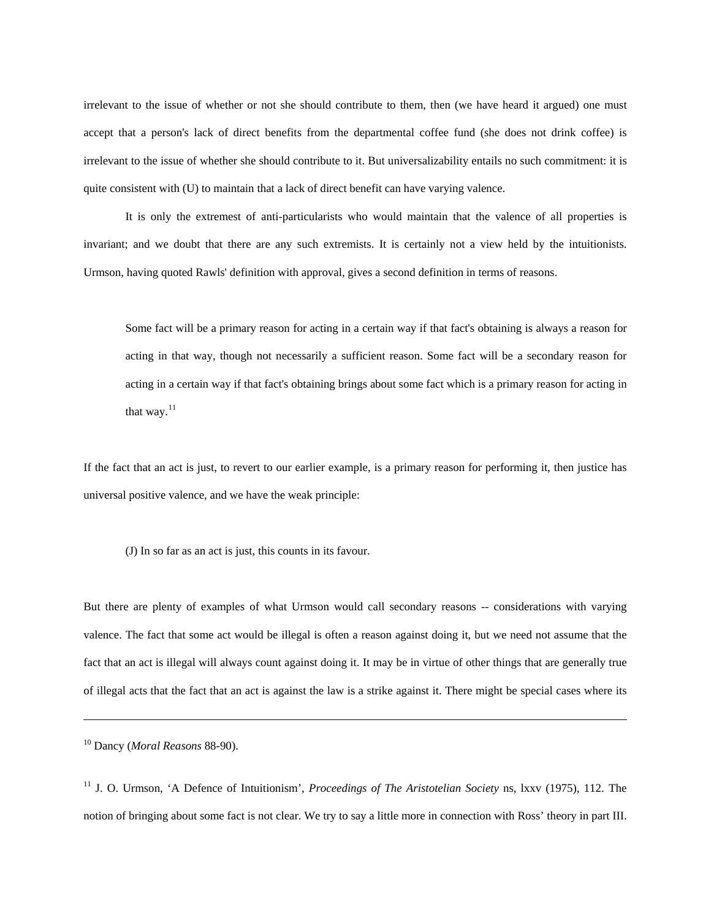irrelevant to the issue of whether or not she should contribute to them, then (we have heard it argued) one must accept that a person's lack of direct benefits from the departmental coffee fund (she does not drink coffee) is irrelevant to the issue of whether she should contribute to it. But universalizability entails no such commitment: it is quite consistent with (U) to maintain that a lack of direct benefit can have varying valence.

 It is only the extremest of anti-particularists who would maintain that the valence of all properties is invariant; and we doubt that there are any such extremists. It is certainly not a view held by the intuitionists. Urmson, having quoted Rawls' definition with approval, gives a second definition in terms of reasons.

Some fact will be a primary reason for acting in a certain way if that fact's obtaining is always a reason for acting in that way, though not necessarily a sufficient reason. Some fact will be a secondary reason for acting in a certain way if that fact's obtaining brings about some fact which is a primary reason for acting in that way. $11$ 

If the fact that an act is just, to revert to our earlier example, is a primary reason for performing it, then justice has universal positive valence, and we have the weak principle:

(J) In so far as an act is just, this counts in its favour.

But there are plenty of examples of what Urmson would call secondary reasons -- considerations with varying valence. The fact that some act would be illegal is often a reason against doing it, but we need not assume that the fact that an act is illegal will always count against doing it. It may be in virtue of other things that are generally true of illegal acts that the fact that an act is against the law is a strike against it. There might be special cases where its

l

<span id="page-3-0"></span>11 J. O. Urmson, 'A Defence of Intuitionism', *Proceedings of The Aristotelian Society* ns, lxxv (1975), 112. The notion of bringing about some fact is not clear. We try to say a little more in connection with Ross' theory in part III.

<sup>10</sup> Dancy (*Moral Reasons* 88-90).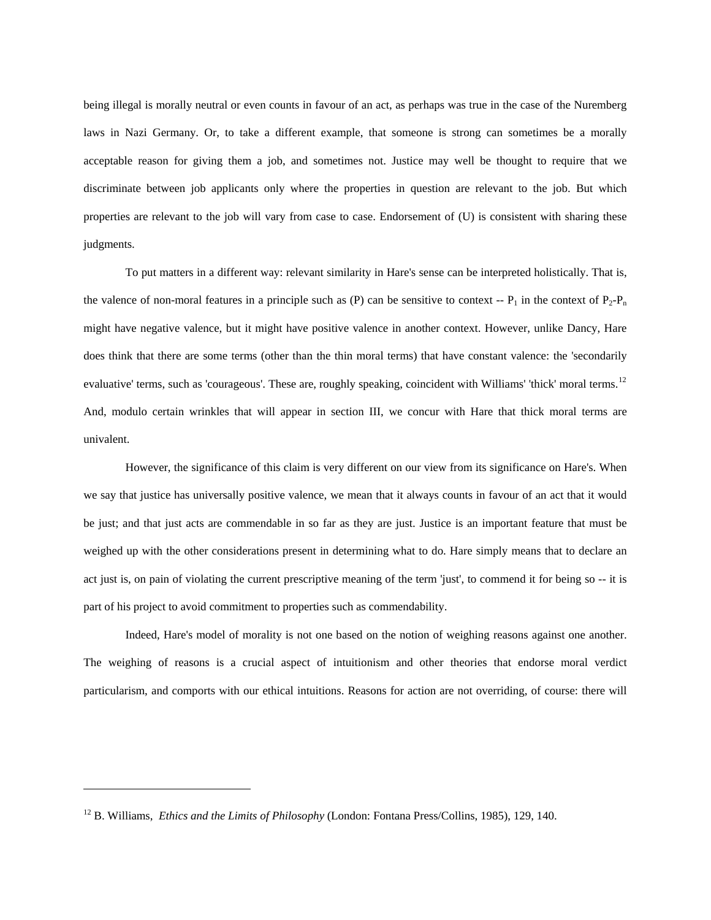being illegal is morally neutral or even counts in favour of an act, as perhaps was true in the case of the Nuremberg laws in Nazi Germany. Or, to take a different example, that someone is strong can sometimes be a morally acceptable reason for giving them a job, and sometimes not. Justice may well be thought to require that we discriminate between job applicants only where the properties in question are relevant to the job. But which properties are relevant to the job will vary from case to case. Endorsement of (U) is consistent with sharing these judgments.

 To put matters in a different way: relevant similarity in Hare's sense can be interpreted holistically. That is, the valence of non-moral features in a principle such as (P) can be sensitive to context --  $P_1$  in the context of  $P_2-P_n$ might have negative valence, but it might have positive valence in another context. However, unlike Dancy, Hare does think that there are some terms (other than the thin moral terms) that have constant valence: the 'secondarily evaluative' terms, such as 'courageous'. These are, roughly speaking, coincident with Williams' 'thick' moral terms.<sup>[12](#page-4-0)</sup> And, modulo certain wrinkles that will appear in section III, we concur with Hare that thick moral terms are univalent.

 However, the significance of this claim is very different on our view from its significance on Hare's. When we say that justice has universally positive valence, we mean that it always counts in favour of an act that it would be just; and that just acts are commendable in so far as they are just. Justice is an important feature that must be weighed up with the other considerations present in determining what to do. Hare simply means that to declare an act just is, on pain of violating the current prescriptive meaning of the term 'just', to commend it for being so -- it is part of his project to avoid commitment to properties such as commendability.

 Indeed, Hare's model of morality is not one based on the notion of weighing reasons against one another. The weighing of reasons is a crucial aspect of intuitionism and other theories that endorse moral verdict particularism, and comports with our ethical intuitions. Reasons for action are not overriding, of course: there will

 $\overline{a}$ 

<span id="page-4-0"></span><sup>12</sup> B. Williams, *Ethics and the Limits of Philosophy* (London: Fontana Press/Collins, 1985), 129, 140.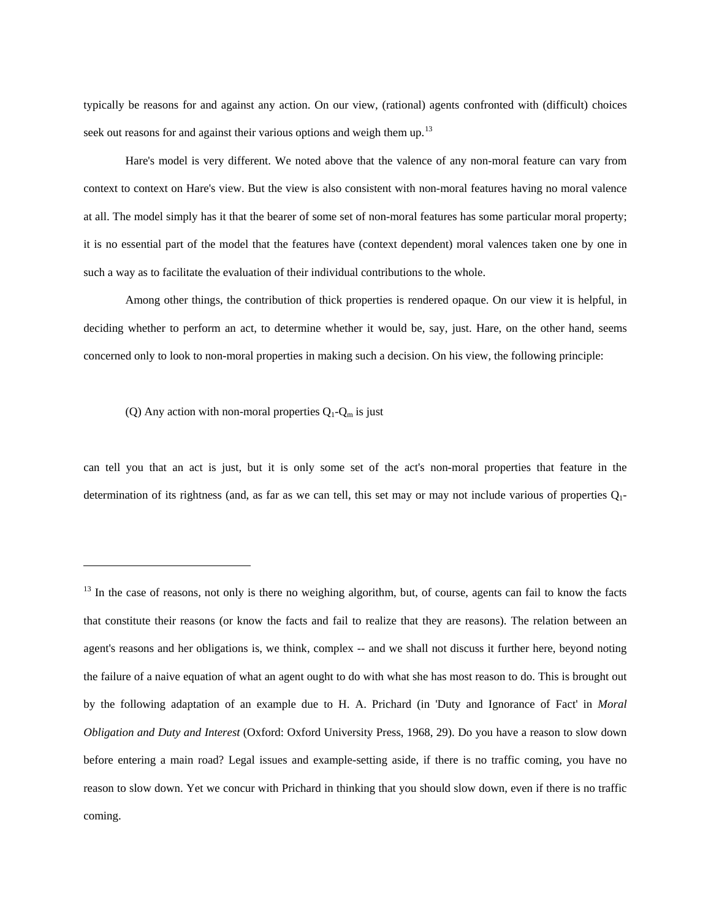typically be reasons for and against any action. On our view, (rational) agents confronted with (difficult) choices seek out reasons for and against their various options and weigh them up.<sup>[13](#page-5-0)</sup>

 Hare's model is very different. We noted above that the valence of any non-moral feature can vary from context to context on Hare's view. But the view is also consistent with non-moral features having no moral valence at all. The model simply has it that the bearer of some set of non-moral features has some particular moral property; it is no essential part of the model that the features have (context dependent) moral valences taken one by one in such a way as to facilitate the evaluation of their individual contributions to the whole.

 Among other things, the contribution of thick properties is rendered opaque. On our view it is helpful, in deciding whether to perform an act, to determine whether it would be, say, just. Hare, on the other hand, seems concerned only to look to non-moral properties in making such a decision. On his view, the following principle:

(Q) Any action with non-moral properties  $Q_1 - Q_m$  is just

 $\overline{a}$ 

can tell you that an act is just, but it is only some set of the act's non-moral properties that feature in the determination of its rightness (and, as far as we can tell, this set may or may not include various of properties  $Q_1$ -

<span id="page-5-0"></span><sup>&</sup>lt;sup>13</sup> In the case of reasons, not only is there no weighing algorithm, but, of course, agents can fail to know the facts that constitute their reasons (or know the facts and fail to realize that they are reasons). The relation between an agent's reasons and her obligations is, we think, complex -- and we shall not discuss it further here, beyond noting the failure of a naive equation of what an agent ought to do with what she has most reason to do. This is brought out by the following adaptation of an example due to H. A. Prichard (in 'Duty and Ignorance of Fact' in *Moral Obligation and Duty and Interest* (Oxford: Oxford University Press, 1968, 29). Do you have a reason to slow down before entering a main road? Legal issues and example-setting aside, if there is no traffic coming, you have no reason to slow down. Yet we concur with Prichard in thinking that you should slow down, even if there is no traffic coming.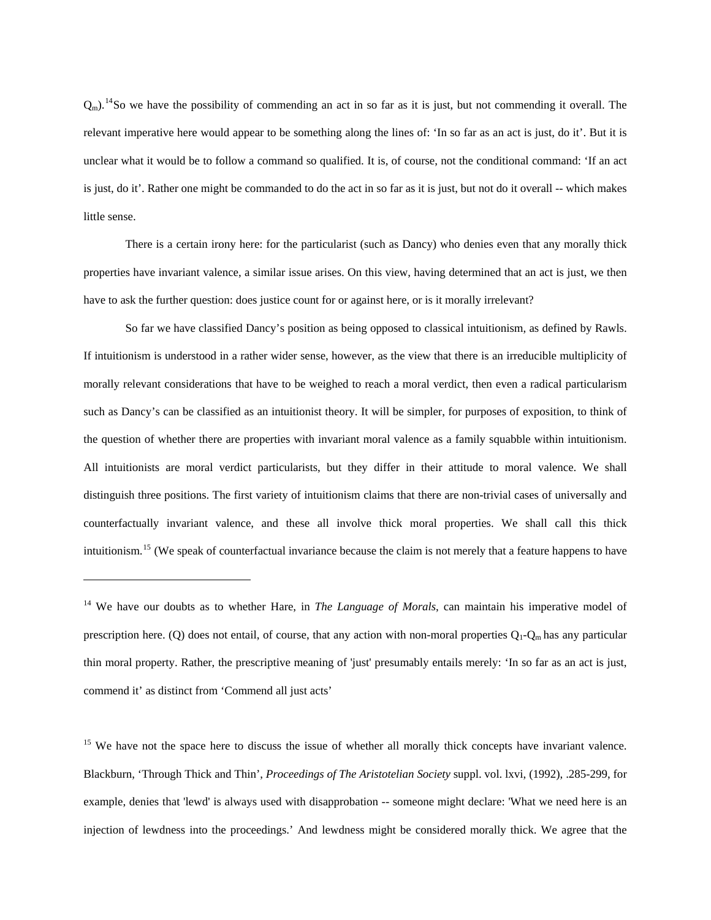$Q_m$ ).<sup>[14](#page-6-0)</sup>So we have the possibility of commending an act in so far as it is just, but not commending it overall. The relevant imperative here would appear to be something along the lines of: 'In so far as an act is just, do it'. But it is unclear what it would be to follow a command so qualified. It is, of course, not the conditional command: 'If an act is just, do it'. Rather one might be commanded to do the act in so far as it is just, but not do it overall -- which makes little sense.

 There is a certain irony here: for the particularist (such as Dancy) who denies even that any morally thick properties have invariant valence, a similar issue arises. On this view, having determined that an act is just, we then have to ask the further question: does justice count for or against here, or is it morally irrelevant?

 So far we have classified Dancy's position as being opposed to classical intuitionism, as defined by Rawls. If intuitionism is understood in a rather wider sense, however, as the view that there is an irreducible multiplicity of morally relevant considerations that have to be weighed to reach a moral verdict, then even a radical particularism such as Dancy's can be classified as an intuitionist theory. It will be simpler, for purposes of exposition, to think of the question of whether there are properties with invariant moral valence as a family squabble within intuitionism. All intuitionists are moral verdict particularists, but they differ in their attitude to moral valence. We shall distinguish three positions. The first variety of intuitionism claims that there are non-trivial cases of universally and counterfactually invariant valence, and these all involve thick moral properties. We shall call this thick intuitionism.[15](#page-6-1) (We speak of counterfactual invariance because the claim is not merely that a feature happens to have

 $\overline{a}$ 

<span id="page-6-1"></span><sup>15</sup> We have not the space here to discuss the issue of whether all morally thick concepts have invariant valence. Blackburn, 'Through Thick and Thin', *Proceedings of The Aristotelian Society* suppl. vol. lxvi, (1992), .285-299, for example, denies that 'lewd' is always used with disapprobation -- someone might declare: 'What we need here is an injection of lewdness into the proceedings.' And lewdness might be considered morally thick. We agree that the

<span id="page-6-0"></span><sup>&</sup>lt;sup>14</sup> We have our doubts as to whether Hare, in *The Language of Morals*, can maintain his imperative model of prescription here. (Q) does not entail, of course, that any action with non-moral properties  $Q_1-Q_m$  has any particular thin moral property. Rather, the prescriptive meaning of 'just' presumably entails merely: 'In so far as an act is just, commend it' as distinct from 'Commend all just acts'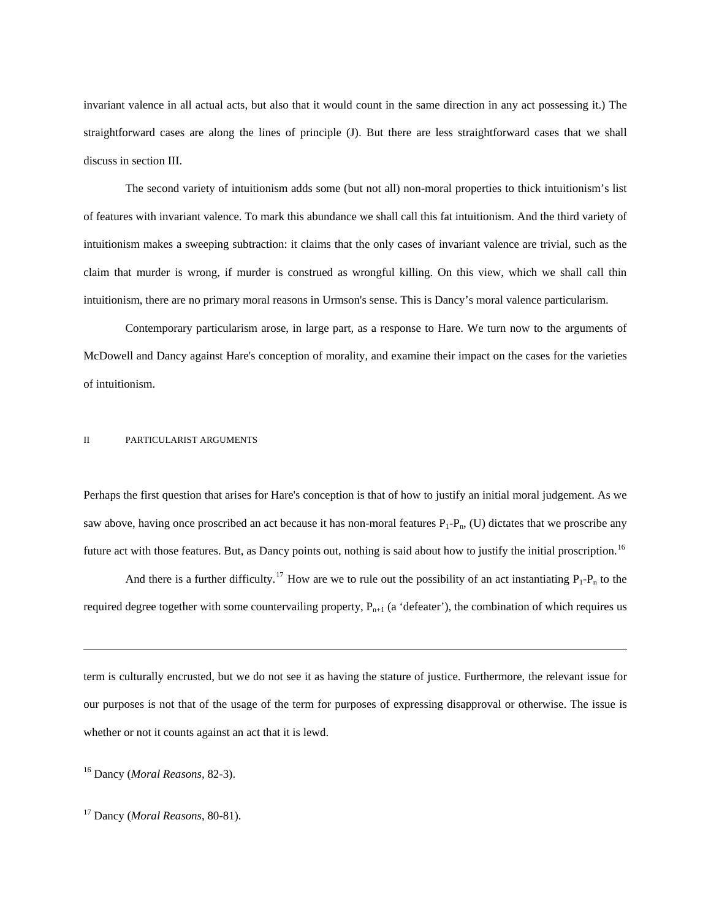invariant valence in all actual acts, but also that it would count in the same direction in any act possessing it.) The straightforward cases are along the lines of principle (J). But there are less straightforward cases that we shall discuss in section III.

 The second variety of intuitionism adds some (but not all) non-moral properties to thick intuitionism's list of features with invariant valence. To mark this abundance we shall call this fat intuitionism. And the third variety of intuitionism makes a sweeping subtraction: it claims that the only cases of invariant valence are trivial, such as the claim that murder is wrong, if murder is construed as wrongful killing. On this view, which we shall call thin intuitionism, there are no primary moral reasons in Urmson's sense. This is Dancy's moral valence particularism.

 Contemporary particularism arose, in large part, as a response to Hare. We turn now to the arguments of McDowell and Dancy against Hare's conception of morality, and examine their impact on the cases for the varieties of intuitionism.

### II PARTICULARIST ARGUMENTS

Perhaps the first question that arises for Hare's conception is that of how to justify an initial moral judgement. As we saw above, having once proscribed an act because it has non-moral features  $P_1-P_n$ , (U) dictates that we proscribe any future act with those features. But, as Dancy points out, nothing is said about how to justify the initial proscription.<sup>[16](#page-7-0)</sup>

And there is a further difficulty.<sup>[17](#page-7-1)</sup> How are we to rule out the possibility of an act instantiating  $P_1-P_n$  to the required degree together with some countervailing property,  $P_{n+1}$  (a 'defeater'), the combination of which requires us

term is culturally encrusted, but we do not see it as having the stature of justice. Furthermore, the relevant issue for our purposes is not that of the usage of the term for purposes of expressing disapproval or otherwise. The issue is whether or not it counts against an act that it is lewd.

<span id="page-7-0"></span>16 Dancy (*Moral Reasons,* 82-3).

 $\overline{a}$ 

<span id="page-7-1"></span>17 Dancy (*Moral Reasons*, 80-81).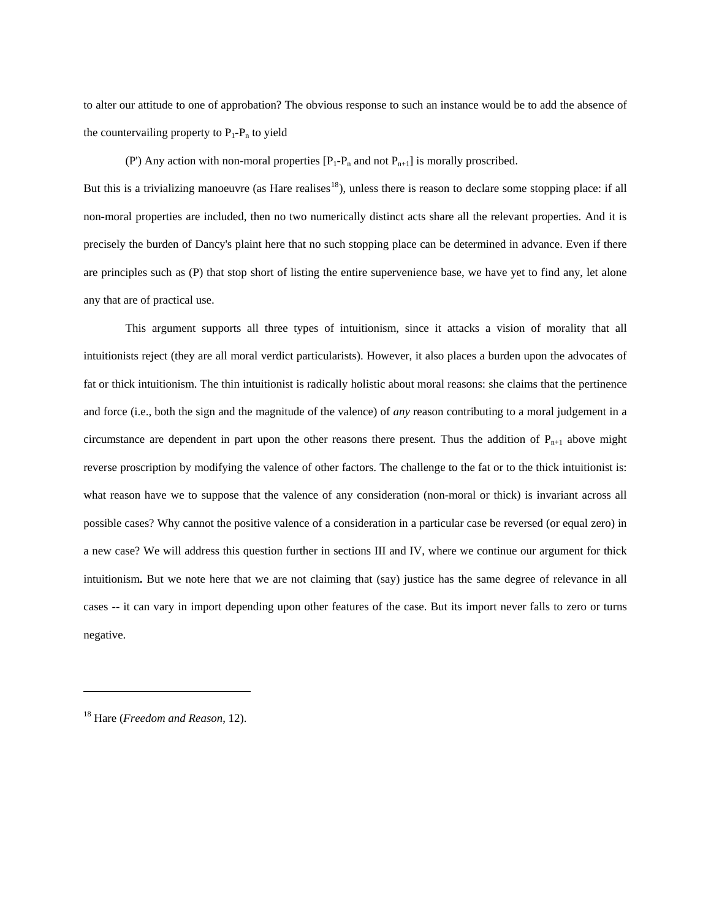to alter our attitude to one of approbation? The obvious response to such an instance would be to add the absence of the countervailing property to  $P_1-P_n$  to yield

(P') Any action with non-moral properties  $[P_1-P_n]$  and not  $P_{n+1}$  is morally proscribed.

But this is a trivializing manoeuvre (as Hare realises<sup>[18](#page-8-0)</sup>), unless there is reason to declare some stopping place: if all non-moral properties are included, then no two numerically distinct acts share all the relevant properties. And it is precisely the burden of Dancy's plaint here that no such stopping place can be determined in advance. Even if there are principles such as (P) that stop short of listing the entire supervenience base, we have yet to find any, let alone any that are of practical use.

 This argument supports all three types of intuitionism, since it attacks a vision of morality that all intuitionists reject (they are all moral verdict particularists). However, it also places a burden upon the advocates of fat or thick intuitionism. The thin intuitionist is radically holistic about moral reasons: she claims that the pertinence and force (i.e., both the sign and the magnitude of the valence) of *any* reason contributing to a moral judgement in a circumstance are dependent in part upon the other reasons there present. Thus the addition of  $P_{n+1}$  above might reverse proscription by modifying the valence of other factors. The challenge to the fat or to the thick intuitionist is: what reason have we to suppose that the valence of any consideration (non-moral or thick) is invariant across all possible cases? Why cannot the positive valence of a consideration in a particular case be reversed (or equal zero) in a new case? We will address this question further in sections III and IV, where we continue our argument for thick intuitionism**.** But we note here that we are not claiming that (say) justice has the same degree of relevance in all cases -- it can vary in import depending upon other features of the case. But its import never falls to zero or turns negative.

<span id="page-8-0"></span><sup>18</sup> Hare (*Freedom and Reason*, 12).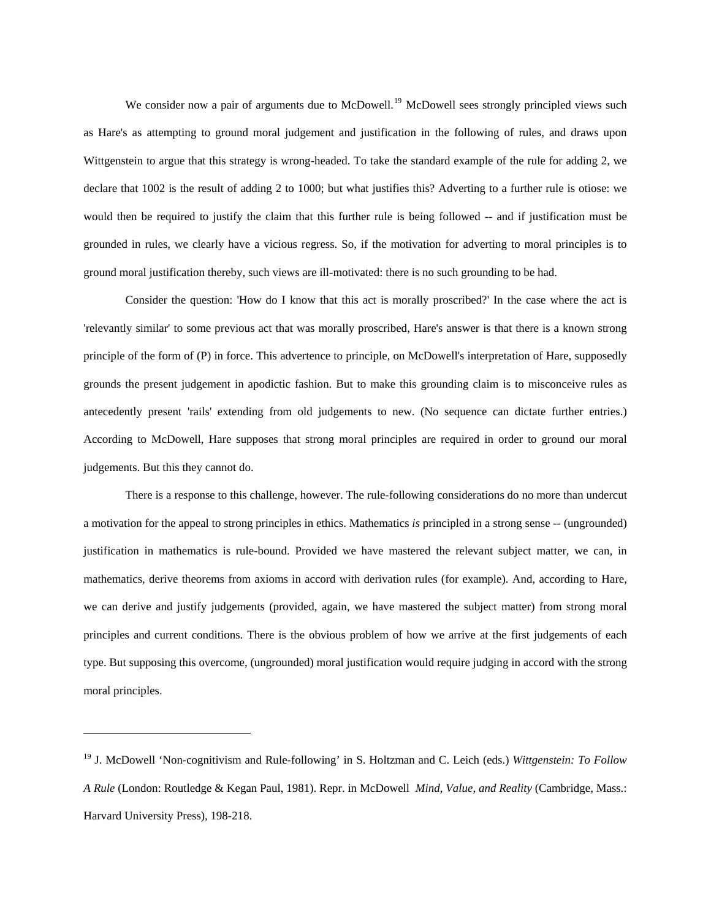We consider now a pair of arguments due to McDowell.<sup>[19](#page-9-0)</sup> McDowell sees strongly principled views such as Hare's as attempting to ground moral judgement and justification in the following of rules, and draws upon Wittgenstein to argue that this strategy is wrong-headed. To take the standard example of the rule for adding 2, we declare that 1002 is the result of adding 2 to 1000; but what justifies this? Adverting to a further rule is otiose: we would then be required to justify the claim that this further rule is being followed -- and if justification must be grounded in rules, we clearly have a vicious regress. So, if the motivation for adverting to moral principles is to ground moral justification thereby, such views are ill-motivated: there is no such grounding to be had.

 Consider the question: 'How do I know that this act is morally proscribed?' In the case where the act is 'relevantly similar' to some previous act that was morally proscribed, Hare's answer is that there is a known strong principle of the form of (P) in force. This advertence to principle, on McDowell's interpretation of Hare, supposedly grounds the present judgement in apodictic fashion. But to make this grounding claim is to misconceive rules as antecedently present 'rails' extending from old judgements to new. (No sequence can dictate further entries.) According to McDowell, Hare supposes that strong moral principles are required in order to ground our moral judgements. But this they cannot do.

 There is a response to this challenge, however. The rule-following considerations do no more than undercut a motivation for the appeal to strong principles in ethics. Mathematics *is* principled in a strong sense -- (ungrounded) justification in mathematics is rule-bound. Provided we have mastered the relevant subject matter, we can, in mathematics, derive theorems from axioms in accord with derivation rules (for example). And, according to Hare, we can derive and justify judgements (provided, again, we have mastered the subject matter) from strong moral principles and current conditions. There is the obvious problem of how we arrive at the first judgements of each type. But supposing this overcome, (ungrounded) moral justification would require judging in accord with the strong moral principles.

<span id="page-9-0"></span><sup>19</sup> J. McDowell 'Non-cognitivism and Rule-following' in S. Holtzman and C. Leich (eds.) *Wittgenstein: To Follow A Rule* (London: Routledge & Kegan Paul, 1981). Repr. in McDowell *Mind, Value, and Reality* (Cambridge, Mass.: Harvard University Press), 198-218.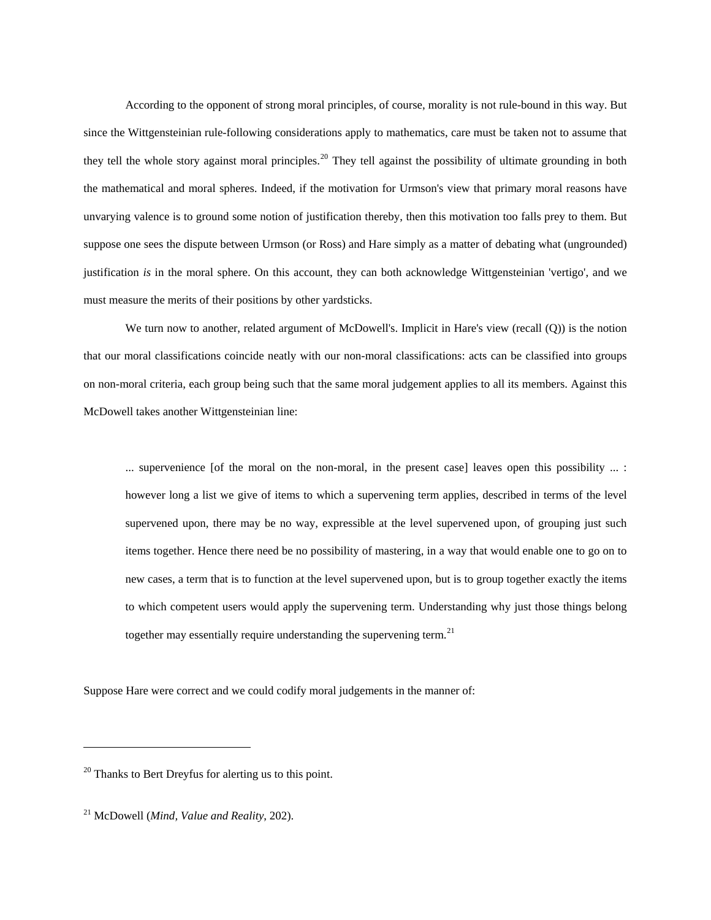According to the opponent of strong moral principles, of course, morality is not rule-bound in this way. But since the Wittgensteinian rule-following considerations apply to mathematics, care must be taken not to assume that they tell the whole story against moral principles.<sup>[20](#page-10-0)</sup> They tell against the possibility of ultimate grounding in both the mathematical and moral spheres. Indeed, if the motivation for Urmson's view that primary moral reasons have unvarying valence is to ground some notion of justification thereby, then this motivation too falls prey to them. But suppose one sees the dispute between Urmson (or Ross) and Hare simply as a matter of debating what (ungrounded) justification *is* in the moral sphere. On this account, they can both acknowledge Wittgensteinian 'vertigo', and we must measure the merits of their positions by other yardsticks.

We turn now to another, related argument of McDowell's. Implicit in Hare's view (recall (Q)) is the notion that our moral classifications coincide neatly with our non-moral classifications: acts can be classified into groups on non-moral criteria, each group being such that the same moral judgement applies to all its members. Against this McDowell takes another Wittgensteinian line:

... supervenience [of the moral on the non-moral, in the present case] leaves open this possibility ... : however long a list we give of items to which a supervening term applies, described in terms of the level supervened upon, there may be no way, expressible at the level supervened upon, of grouping just such items together. Hence there need be no possibility of mastering, in a way that would enable one to go on to new cases, a term that is to function at the level supervened upon, but is to group together exactly the items to which competent users would apply the supervening term. Understanding why just those things belong together may essentially require understanding the supervening term. $^{21}$  $^{21}$  $^{21}$ 

Suppose Hare were correct and we could codify moral judgements in the manner of:

<span id="page-10-0"></span> $20$  Thanks to Bert Dreyfus for alerting us to this point.

<span id="page-10-1"></span><sup>21</sup> McDowell (*Mind, Value and Reality*, 202).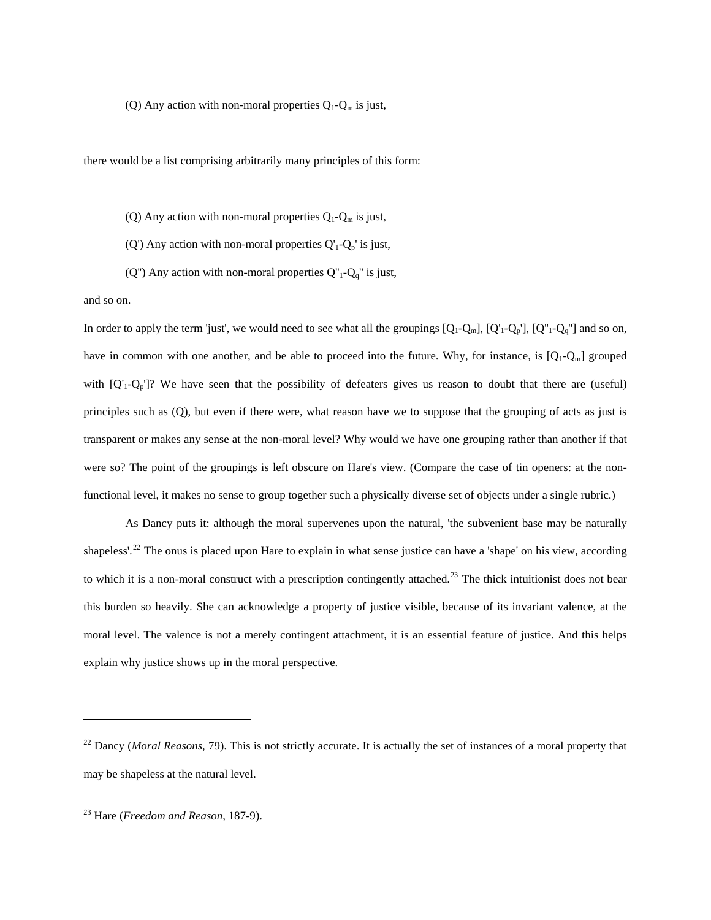(Q) Any action with non-moral properties  $Q_1-Q_m$  is just,

there would be a list comprising arbitrarily many principles of this form:

- (Q) Any action with non-moral properties  $Q_1-Q_m$  is just,
- (Q') Any action with non-moral properties  $Q'_1-Q_p'$  is just,
- (Q") Any action with non-moral properties  $Q''_1-Q_q''$  is just,

and so on.

l

In order to apply the term 'just', we would need to see what all the groupings  $[Q_1-Q_m]$ ,  $[Q'_1-Q_p']$ ,  $[Q''_1-Q_q'']$  and so on, have in common with one another, and be able to proceed into the future. Why, for instance, is  $[Q_1-Q_m]$  grouped with  $[Q'_1-Q_p']$ ? We have seen that the possibility of defeaters gives us reason to doubt that there are (useful) principles such as (Q), but even if there were, what reason have we to suppose that the grouping of acts as just is transparent or makes any sense at the non-moral level? Why would we have one grouping rather than another if that were so? The point of the groupings is left obscure on Hare's view. (Compare the case of tin openers: at the nonfunctional level, it makes no sense to group together such a physically diverse set of objects under a single rubric.)

 As Dancy puts it: although the moral supervenes upon the natural, 'the subvenient base may be naturally shapeless'.<sup>[22](#page-11-0)</sup> The onus is placed upon Hare to explain in what sense justice can have a 'shape' on his view, according to which it is a non-moral construct with a prescription contingently attached.<sup>[23](#page-11-1)</sup> The thick intuitionist does not bear this burden so heavily. She can acknowledge a property of justice visible, because of its invariant valence, at the moral level. The valence is not a merely contingent attachment, it is an essential feature of justice. And this helps explain why justice shows up in the moral perspective.

<span id="page-11-0"></span><sup>&</sup>lt;sup>22</sup> Dancy (*Moral Reasons*, 79). This is not strictly accurate. It is actually the set of instances of a moral property that may be shapeless at the natural level.

<span id="page-11-1"></span><sup>23</sup> Hare (*Freedom and Reason*, 187-9).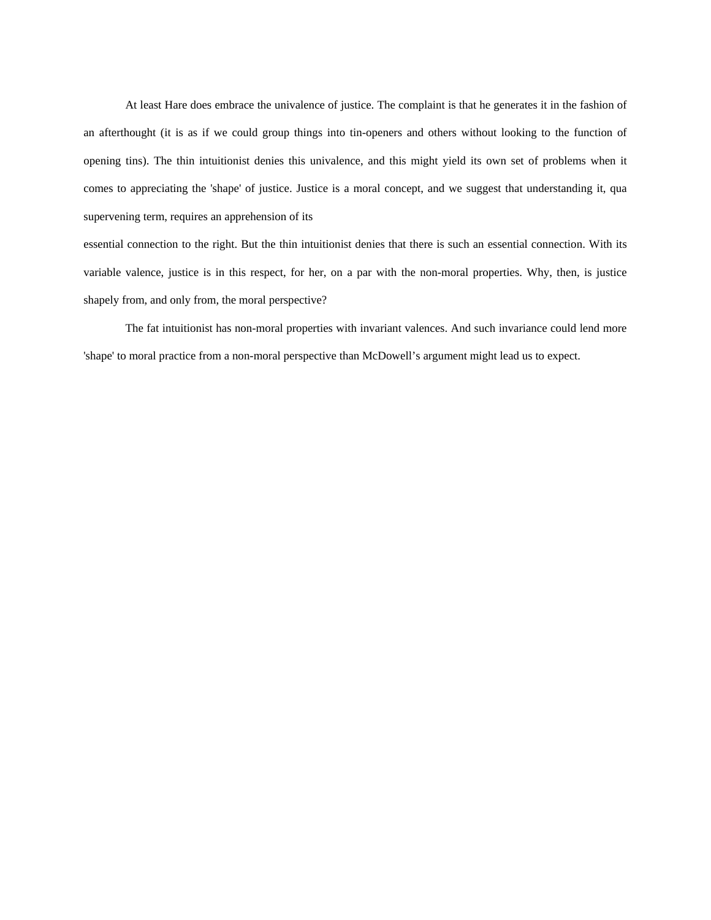At least Hare does embrace the univalence of justice. The complaint is that he generates it in the fashion of an afterthought (it is as if we could group things into tin-openers and others without looking to the function of opening tins). The thin intuitionist denies this univalence, and this might yield its own set of problems when it comes to appreciating the 'shape' of justice. Justice is a moral concept, and we suggest that understanding it, qua supervening term, requires an apprehension of its

essential connection to the right. But the thin intuitionist denies that there is such an essential connection. With its variable valence, justice is in this respect, for her, on a par with the non-moral properties. Why, then, is justice shapely from, and only from, the moral perspective?

 The fat intuitionist has non-moral properties with invariant valences. And such invariance could lend more 'shape' to moral practice from a non-moral perspective than McDowell's argument might lead us to expect.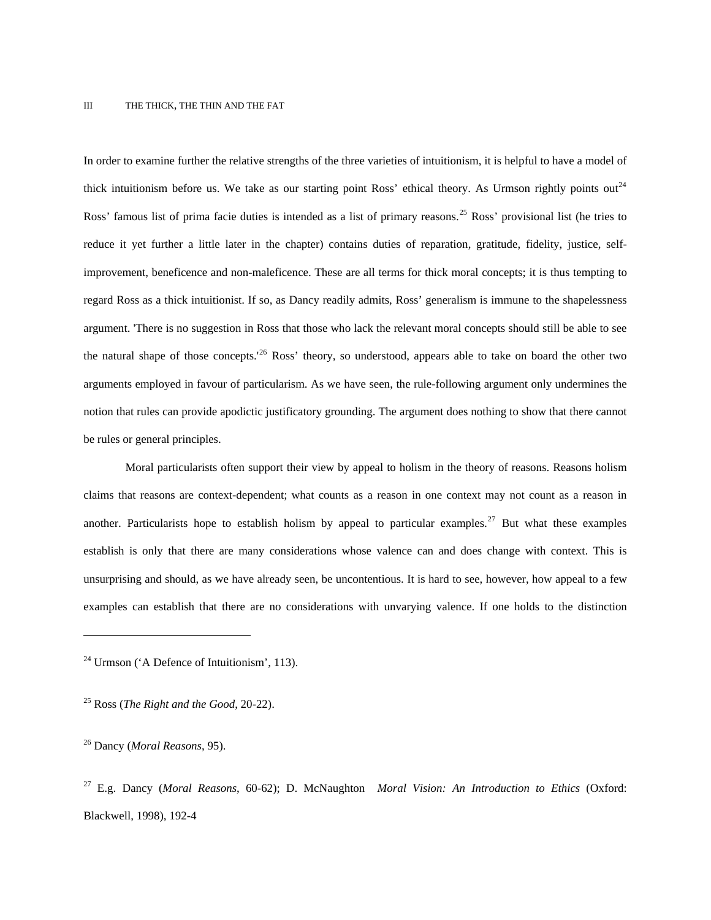In order to examine further the relative strengths of the three varieties of intuitionism, it is helpful to have a model of thick intuitionism before us. We take as our starting point Ross' ethical theory. As Urmson rightly points out<sup>[24](#page-13-0)</sup> Ross' famous list of prima facie duties is intended as a list of primary reasons.<sup>[25](#page-13-1)</sup> Ross' provisional list (he tries to reduce it yet further a little later in the chapter) contains duties of reparation, gratitude, fidelity, justice, selfimprovement, beneficence and non-maleficence. These are all terms for thick moral concepts; it is thus tempting to regard Ross as a thick intuitionist. If so, as Dancy readily admits, Ross' generalism is immune to the shapelessness argument. 'There is no suggestion in Ross that those who lack the relevant moral concepts should still be able to see the natural shape of those concepts.'[26](#page-13-2) Ross' theory, so understood, appears able to take on board the other two arguments employed in favour of particularism. As we have seen, the rule-following argument only undermines the notion that rules can provide apodictic justificatory grounding. The argument does nothing to show that there cannot be rules or general principles.

 Moral particularists often support their view by appeal to holism in the theory of reasons. Reasons holism claims that reasons are context-dependent; what counts as a reason in one context may not count as a reason in another. Particularists hope to establish holism by appeal to particular examples.<sup>[27](#page-13-3)</sup> But what these examples establish is only that there are many considerations whose valence can and does change with context. This is unsurprising and should, as we have already seen, be uncontentious. It is hard to see, however, how appeal to a few examples can establish that there are no considerations with unvarying valence. If one holds to the distinction

 $\overline{a}$ 

<span id="page-13-0"></span><sup>&</sup>lt;sup>24</sup> Urmson ( $\angle$ A Defence of Intuitionism $\angle$ , 113).

<span id="page-13-1"></span><sup>25</sup> Ross (*The Right and the Good*, 20-22).

<span id="page-13-2"></span><sup>26</sup> Dancy (*Moral Reasons*, 95).

<span id="page-13-3"></span><sup>27</sup> E.g. Dancy (*Moral Reasons*, 60-62); D. McNaughton *Moral Vision: An Introduction to Ethics* (Oxford: Blackwell, 1998), 192-4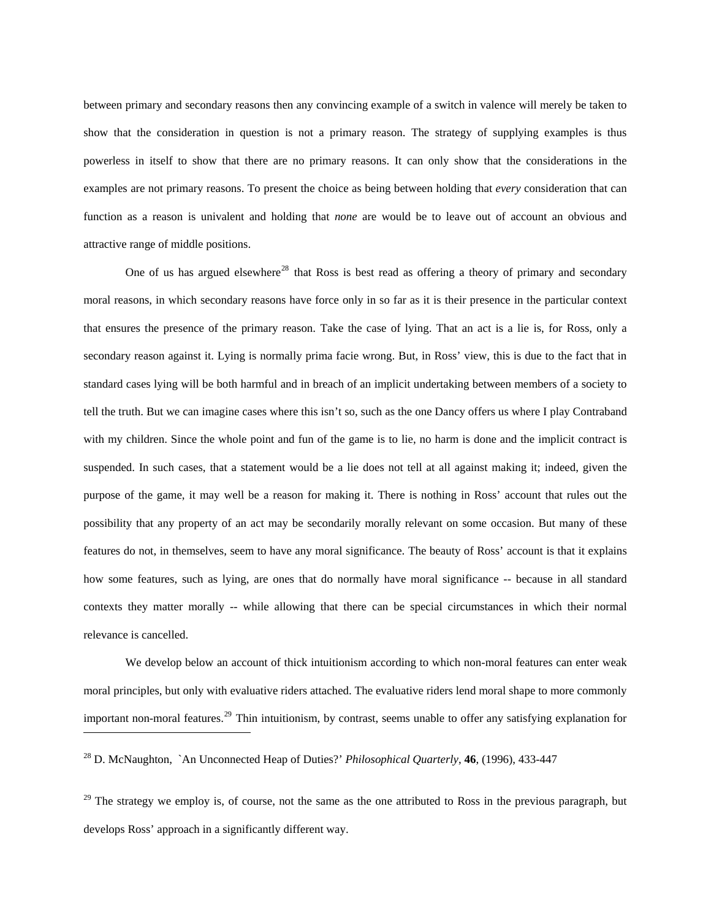between primary and secondary reasons then any convincing example of a switch in valence will merely be taken to show that the consideration in question is not a primary reason. The strategy of supplying examples is thus powerless in itself to show that there are no primary reasons. It can only show that the considerations in the examples are not primary reasons. To present the choice as being between holding that *every* consideration that can function as a reason is univalent and holding that *none* are would be to leave out of account an obvious and attractive range of middle positions.

One of us has argued elsewhere<sup>[28](#page-14-0)</sup> that Ross is best read as offering a theory of primary and secondary moral reasons, in which secondary reasons have force only in so far as it is their presence in the particular context that ensures the presence of the primary reason. Take the case of lying. That an act is a lie is, for Ross, only a secondary reason against it. Lying is normally prima facie wrong. But, in Ross' view, this is due to the fact that in standard cases lying will be both harmful and in breach of an implicit undertaking between members of a society to tell the truth. But we can imagine cases where this isn't so, such as the one Dancy offers us where I play Contraband with my children. Since the whole point and fun of the game is to lie, no harm is done and the implicit contract is suspended. In such cases, that a statement would be a lie does not tell at all against making it; indeed, given the purpose of the game, it may well be a reason for making it. There is nothing in Ross' account that rules out the possibility that any property of an act may be secondarily morally relevant on some occasion. But many of these features do not, in themselves, seem to have any moral significance. The beauty of Ross' account is that it explains how some features, such as lying, are ones that do normally have moral significance -- because in all standard contexts they matter morally -- while allowing that there can be special circumstances in which their normal relevance is cancelled.

 We develop below an account of thick intuitionism according to which non-moral features can enter weak moral principles, but only with evaluative riders attached. The evaluative riders lend moral shape to more commonly important non-moral features.<sup>[29](#page-14-1)</sup> Thin intuitionism, by contrast, seems unable to offer any satisfying explanation for

 $\overline{a}$ 

<span id="page-14-0"></span><sup>28</sup> D. McNaughton, `An Unconnected Heap of Duties?' *Philosophical Quarterly*, **46**, (1996), 433-447

<span id="page-14-1"></span> $^{29}$  The strategy we employ is, of course, not the same as the one attributed to Ross in the previous paragraph, but develops Ross' approach in a significantly different way.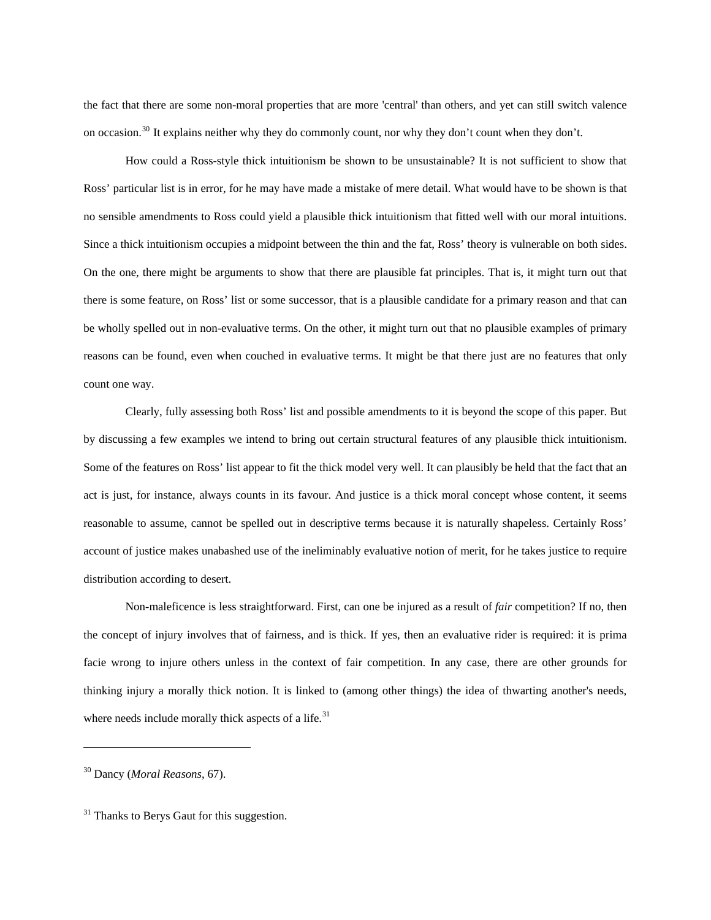the fact that there are some non-moral properties that are more 'central' than others, and yet can still switch valence on occasion.[30](#page-15-0) It explains neither why they do commonly count, nor why they don't count when they don't.

 How could a Ross-style thick intuitionism be shown to be unsustainable? It is not sufficient to show that Ross' particular list is in error, for he may have made a mistake of mere detail. What would have to be shown is that no sensible amendments to Ross could yield a plausible thick intuitionism that fitted well with our moral intuitions. Since a thick intuitionism occupies a midpoint between the thin and the fat, Ross' theory is vulnerable on both sides. On the one, there might be arguments to show that there are plausible fat principles. That is, it might turn out that there is some feature, on Ross' list or some successor, that is a plausible candidate for a primary reason and that can be wholly spelled out in non-evaluative terms. On the other, it might turn out that no plausible examples of primary reasons can be found, even when couched in evaluative terms. It might be that there just are no features that only count one way.

 Clearly, fully assessing both Ross' list and possible amendments to it is beyond the scope of this paper. But by discussing a few examples we intend to bring out certain structural features of any plausible thick intuitionism. Some of the features on Ross' list appear to fit the thick model very well. It can plausibly be held that the fact that an act is just, for instance, always counts in its favour. And justice is a thick moral concept whose content, it seems reasonable to assume, cannot be spelled out in descriptive terms because it is naturally shapeless. Certainly Ross' account of justice makes unabashed use of the ineliminably evaluative notion of merit, for he takes justice to require distribution according to desert.

 Non-maleficence is less straightforward. First, can one be injured as a result of *fair* competition? If no, then the concept of injury involves that of fairness, and is thick. If yes, then an evaluative rider is required: it is prima facie wrong to injure others unless in the context of fair competition. In any case, there are other grounds for thinking injury a morally thick notion. It is linked to (among other things) the idea of thwarting another's needs, where needs include morally thick aspects of a life. $31$ 

<span id="page-15-0"></span><sup>30</sup> Dancy (*Moral Reasons*, 67).

<span id="page-15-1"></span> $31$  Thanks to Berys Gaut for this suggestion.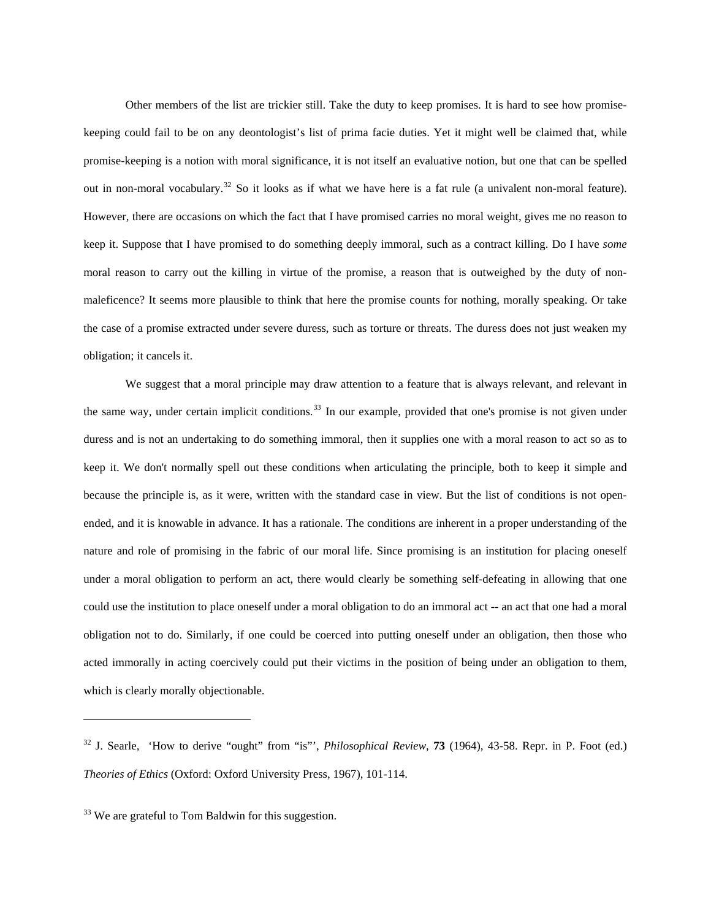Other members of the list are trickier still. Take the duty to keep promises. It is hard to see how promisekeeping could fail to be on any deontologist's list of prima facie duties. Yet it might well be claimed that, while promise-keeping is a notion with moral significance, it is not itself an evaluative notion, but one that can be spelled out in non-moral vocabulary.<sup>[32](#page-16-0)</sup> So it looks as if what we have here is a fat rule (a univalent non-moral feature). However, there are occasions on which the fact that I have promised carries no moral weight, gives me no reason to keep it. Suppose that I have promised to do something deeply immoral, such as a contract killing. Do I have *some* moral reason to carry out the killing in virtue of the promise, a reason that is outweighed by the duty of nonmaleficence? It seems more plausible to think that here the promise counts for nothing, morally speaking. Or take the case of a promise extracted under severe duress, such as torture or threats. The duress does not just weaken my obligation; it cancels it.

 We suggest that a moral principle may draw attention to a feature that is always relevant, and relevant in the same way, under certain implicit conditions.<sup>[33](#page-16-1)</sup> In our example, provided that one's promise is not given under duress and is not an undertaking to do something immoral, then it supplies one with a moral reason to act so as to keep it. We don't normally spell out these conditions when articulating the principle, both to keep it simple and because the principle is, as it were, written with the standard case in view. But the list of conditions is not openended, and it is knowable in advance. It has a rationale. The conditions are inherent in a proper understanding of the nature and role of promising in the fabric of our moral life. Since promising is an institution for placing oneself under a moral obligation to perform an act, there would clearly be something self-defeating in allowing that one could use the institution to place oneself under a moral obligation to do an immoral act -- an act that one had a moral obligation not to do. Similarly, if one could be coerced into putting oneself under an obligation, then those who acted immorally in acting coercively could put their victims in the position of being under an obligation to them, which is clearly morally objectionable.

<span id="page-16-0"></span><sup>32</sup> J. Searle, 'How to derive "ought" from "is"', *Philosophical Review*, **73** (1964), 43-58. Repr. in P. Foot (ed.) *Theories of Ethics* (Oxford: Oxford University Press, 1967), 101-114.

<span id="page-16-1"></span><sup>&</sup>lt;sup>33</sup> We are grateful to Tom Baldwin for this suggestion.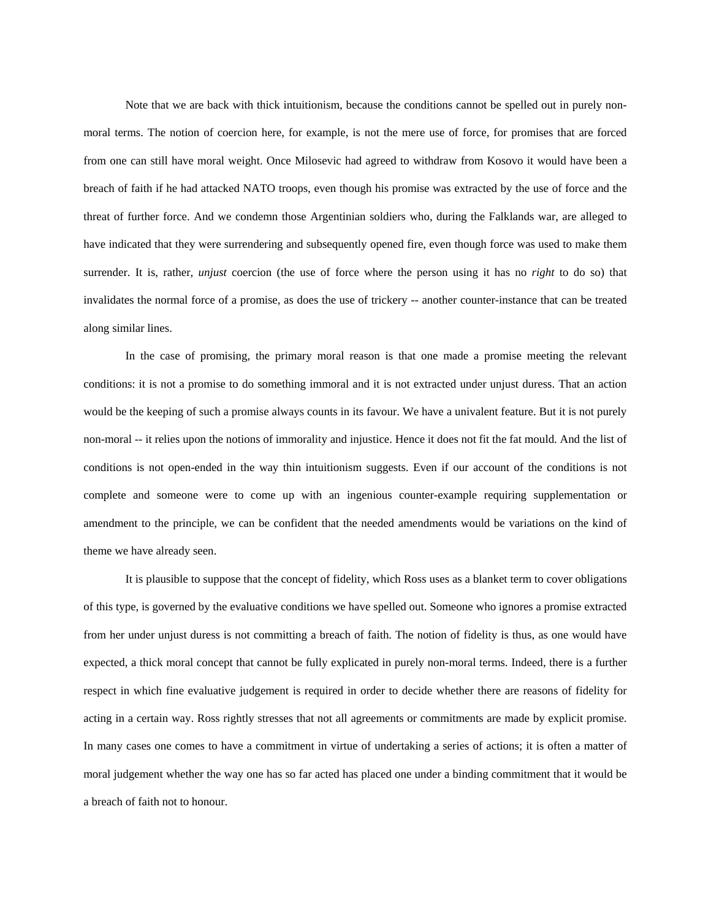Note that we are back with thick intuitionism, because the conditions cannot be spelled out in purely nonmoral terms. The notion of coercion here, for example, is not the mere use of force, for promises that are forced from one can still have moral weight. Once Milosevic had agreed to withdraw from Kosovo it would have been a breach of faith if he had attacked NATO troops, even though his promise was extracted by the use of force and the threat of further force. And we condemn those Argentinian soldiers who, during the Falklands war, are alleged to have indicated that they were surrendering and subsequently opened fire, even though force was used to make them surrender. It is, rather, *unjust* coercion (the use of force where the person using it has no *right* to do so) that invalidates the normal force of a promise, as does the use of trickery -- another counter-instance that can be treated along similar lines.

 In the case of promising, the primary moral reason is that one made a promise meeting the relevant conditions: it is not a promise to do something immoral and it is not extracted under unjust duress. That an action would be the keeping of such a promise always counts in its favour. We have a univalent feature. But it is not purely non-moral -- it relies upon the notions of immorality and injustice. Hence it does not fit the fat mould. And the list of conditions is not open-ended in the way thin intuitionism suggests. Even if our account of the conditions is not complete and someone were to come up with an ingenious counter-example requiring supplementation or amendment to the principle, we can be confident that the needed amendments would be variations on the kind of theme we have already seen.

 It is plausible to suppose that the concept of fidelity, which Ross uses as a blanket term to cover obligations of this type, is governed by the evaluative conditions we have spelled out. Someone who ignores a promise extracted from her under unjust duress is not committing a breach of faith. The notion of fidelity is thus, as one would have expected, a thick moral concept that cannot be fully explicated in purely non-moral terms. Indeed, there is a further respect in which fine evaluative judgement is required in order to decide whether there are reasons of fidelity for acting in a certain way. Ross rightly stresses that not all agreements or commitments are made by explicit promise. In many cases one comes to have a commitment in virtue of undertaking a series of actions; it is often a matter of moral judgement whether the way one has so far acted has placed one under a binding commitment that it would be a breach of faith not to honour.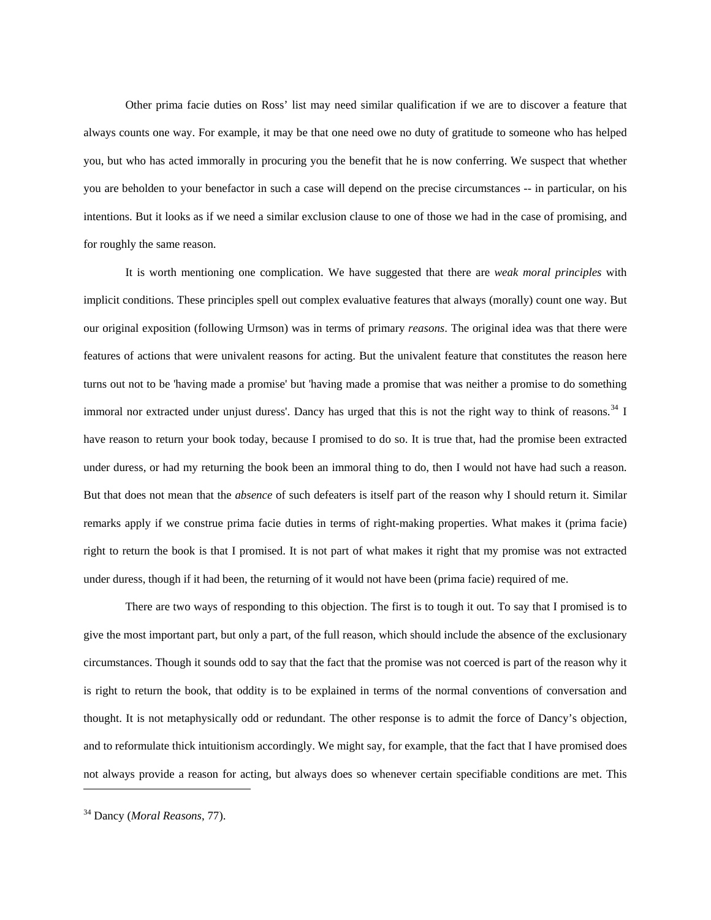Other prima facie duties on Ross' list may need similar qualification if we are to discover a feature that always counts one way. For example, it may be that one need owe no duty of gratitude to someone who has helped you, but who has acted immorally in procuring you the benefit that he is now conferring. We suspect that whether you are beholden to your benefactor in such a case will depend on the precise circumstances -- in particular, on his intentions. But it looks as if we need a similar exclusion clause to one of those we had in the case of promising, and for roughly the same reason.

 It is worth mentioning one complication. We have suggested that there are *weak moral principles* with implicit conditions. These principles spell out complex evaluative features that always (morally) count one way. But our original exposition (following Urmson) was in terms of primary *reasons*. The original idea was that there were features of actions that were univalent reasons for acting. But the univalent feature that constitutes the reason here turns out not to be 'having made a promise' but 'having made a promise that was neither a promise to do something immoral nor extracted under unjust duress'. Dancy has urged that this is not the right way to think of reasons.<sup>[34](#page-18-0)</sup> I have reason to return your book today, because I promised to do so. It is true that, had the promise been extracted under duress, or had my returning the book been an immoral thing to do, then I would not have had such a reason. But that does not mean that the *absence* of such defeaters is itself part of the reason why I should return it. Similar remarks apply if we construe prima facie duties in terms of right-making properties. What makes it (prima facie) right to return the book is that I promised. It is not part of what makes it right that my promise was not extracted under duress, though if it had been, the returning of it would not have been (prima facie) required of me.

 There are two ways of responding to this objection. The first is to tough it out. To say that I promised is to give the most important part, but only a part, of the full reason, which should include the absence of the exclusionary circumstances. Though it sounds odd to say that the fact that the promise was not coerced is part of the reason why it is right to return the book, that oddity is to be explained in terms of the normal conventions of conversation and thought. It is not metaphysically odd or redundant. The other response is to admit the force of Dancy's objection, and to reformulate thick intuitionism accordingly. We might say, for example, that the fact that I have promised does not always provide a reason for acting, but always does so whenever certain specifiable conditions are met. This

<span id="page-18-0"></span><sup>34</sup> Dancy (*Moral Reasons*, 77).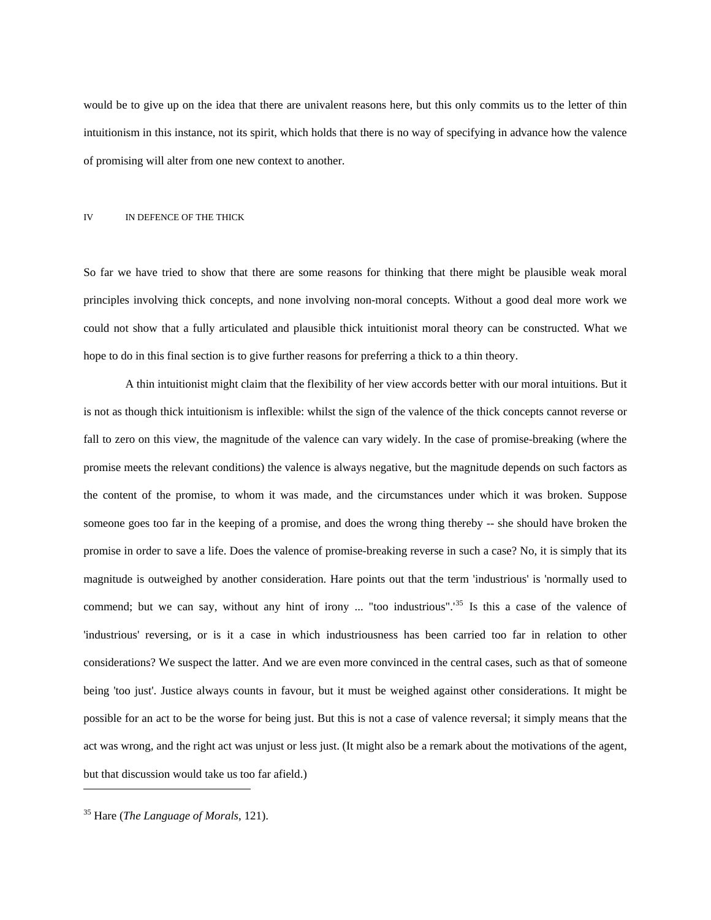would be to give up on the idea that there are univalent reasons here, but this only commits us to the letter of thin intuitionism in this instance, not its spirit, which holds that there is no way of specifying in advance how the valence of promising will alter from one new context to another.

#### IV IN DEFENCE OF THE THICK

So far we have tried to show that there are some reasons for thinking that there might be plausible weak moral principles involving thick concepts, and none involving non-moral concepts. Without a good deal more work we could not show that a fully articulated and plausible thick intuitionist moral theory can be constructed. What we hope to do in this final section is to give further reasons for preferring a thick to a thin theory.

 A thin intuitionist might claim that the flexibility of her view accords better with our moral intuitions. But it is not as though thick intuitionism is inflexible: whilst the sign of the valence of the thick concepts cannot reverse or fall to zero on this view, the magnitude of the valence can vary widely. In the case of promise-breaking (where the promise meets the relevant conditions) the valence is always negative, but the magnitude depends on such factors as the content of the promise, to whom it was made, and the circumstances under which it was broken. Suppose someone goes too far in the keeping of a promise, and does the wrong thing thereby -- she should have broken the promise in order to save a life. Does the valence of promise-breaking reverse in such a case? No, it is simply that its magnitude is outweighed by another consideration. Hare points out that the term 'industrious' is 'normally used to commend; but we can say, without any hint of irony ... "too industrious".<sup>[35](#page-19-0)</sup> Is this a case of the valence of 'industrious' reversing, or is it a case in which industriousness has been carried too far in relation to other considerations? We suspect the latter. And we are even more convinced in the central cases, such as that of someone being 'too just'. Justice always counts in favour, but it must be weighed against other considerations. It might be possible for an act to be the worse for being just. But this is not a case of valence reversal; it simply means that the act was wrong, and the right act was unjust or less just. (It might also be a remark about the motivations of the agent, but that discussion would take us too far afield.)

<span id="page-19-0"></span><sup>35</sup> Hare (*The Language of Morals*, 121).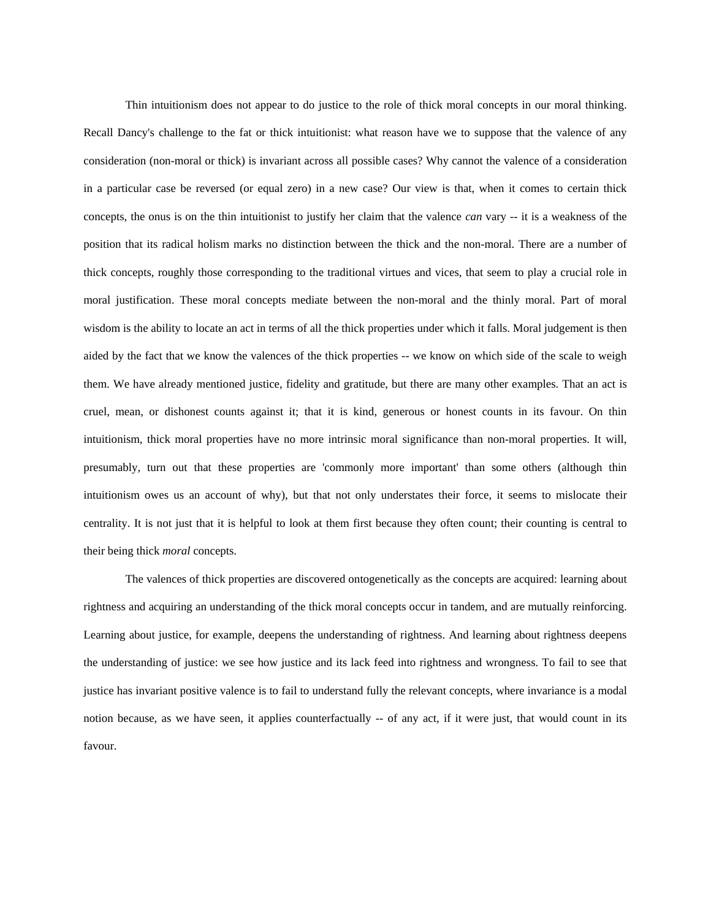Thin intuitionism does not appear to do justice to the role of thick moral concepts in our moral thinking. Recall Dancy's challenge to the fat or thick intuitionist: what reason have we to suppose that the valence of any consideration (non-moral or thick) is invariant across all possible cases? Why cannot the valence of a consideration in a particular case be reversed (or equal zero) in a new case? Our view is that, when it comes to certain thick concepts, the onus is on the thin intuitionist to justify her claim that the valence *can* vary -- it is a weakness of the position that its radical holism marks no distinction between the thick and the non-moral. There are a number of thick concepts, roughly those corresponding to the traditional virtues and vices, that seem to play a crucial role in moral justification. These moral concepts mediate between the non-moral and the thinly moral. Part of moral wisdom is the ability to locate an act in terms of all the thick properties under which it falls. Moral judgement is then aided by the fact that we know the valences of the thick properties -- we know on which side of the scale to weigh them. We have already mentioned justice, fidelity and gratitude, but there are many other examples. That an act is cruel, mean, or dishonest counts against it; that it is kind, generous or honest counts in its favour. On thin intuitionism, thick moral properties have no more intrinsic moral significance than non-moral properties. It will, presumably, turn out that these properties are 'commonly more important' than some others (although thin intuitionism owes us an account of why), but that not only understates their force, it seems to mislocate their centrality. It is not just that it is helpful to look at them first because they often count; their counting is central to their being thick *moral* concepts.

 The valences of thick properties are discovered ontogenetically as the concepts are acquired: learning about rightness and acquiring an understanding of the thick moral concepts occur in tandem, and are mutually reinforcing. Learning about justice, for example, deepens the understanding of rightness. And learning about rightness deepens the understanding of justice: we see how justice and its lack feed into rightness and wrongness. To fail to see that justice has invariant positive valence is to fail to understand fully the relevant concepts, where invariance is a modal notion because, as we have seen, it applies counterfactually -- of any act, if it were just, that would count in its favour.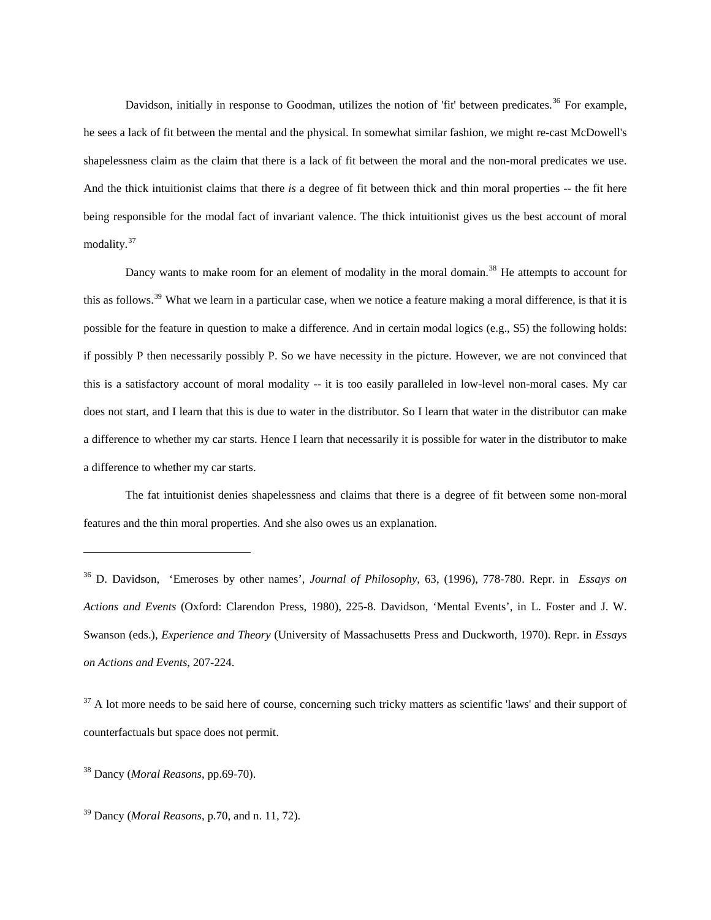Davidson, initially in response to Goodman, utilizes the notion of 'fit' between predicates.<sup>[36](#page-21-0)</sup> For example, he sees a lack of fit between the mental and the physical. In somewhat similar fashion, we might re-cast McDowell's shapelessness claim as the claim that there is a lack of fit between the moral and the non-moral predicates we use. And the thick intuitionist claims that there *is* a degree of fit between thick and thin moral properties -- the fit here being responsible for the modal fact of invariant valence. The thick intuitionist gives us the best account of moral modality.<sup>[37](#page-21-1)</sup>

Dancy wants to make room for an element of modality in the moral domain.<sup>[38](#page-21-2)</sup> He attempts to account for this as follows.<sup>[39](#page-21-3)</sup> What we learn in a particular case, when we notice a feature making a moral difference, is that it is possible for the feature in question to make a difference. And in certain modal logics (e.g., S5) the following holds: if possibly P then necessarily possibly P. So we have necessity in the picture. However, we are not convinced that this is a satisfactory account of moral modality -- it is too easily paralleled in low-level non-moral cases. My car does not start, and I learn that this is due to water in the distributor. So I learn that water in the distributor can make a difference to whether my car starts. Hence I learn that necessarily it is possible for water in the distributor to make a difference to whether my car starts.

 The fat intuitionist denies shapelessness and claims that there is a degree of fit between some non-moral features and the thin moral properties. And she also owes us an explanation.

<span id="page-21-0"></span><sup>36</sup> D. Davidson, 'Emeroses by other names', *Journal of Philosophy*, 63, (1996), 778-780. Repr. in *Essays on Actions and Events* (Oxford: Clarendon Press, 1980), 225-8. Davidson, 'Mental Events', in L. Foster and J. W. Swanson (eds.), *Experience and Theory* (University of Massachusetts Press and Duckworth, 1970). Repr. in *Essays on Actions and Events*, 207-224.

<span id="page-21-1"></span> $37$  A lot more needs to be said here of course, concerning such tricky matters as scientific 'laws' and their support of counterfactuals but space does not permit.

<span id="page-21-2"></span><sup>38</sup> Dancy (*Moral Reasons*, pp.69-70).

<span id="page-21-3"></span><sup>39</sup> Dancy (*Moral Reasons*, p.70, and n. 11, 72).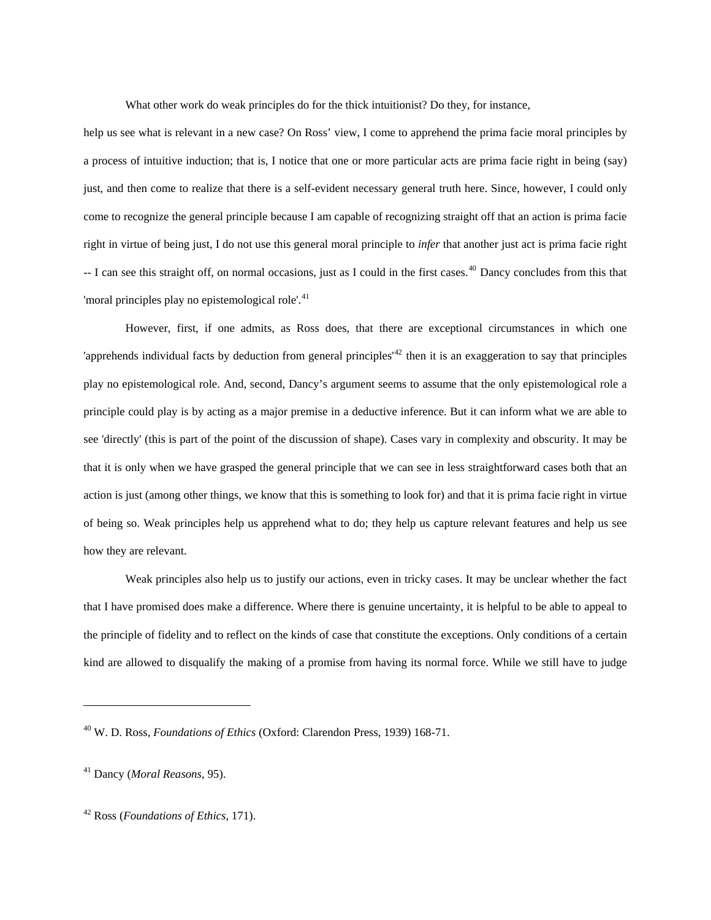What other work do weak principles do for the thick intuitionist? Do they, for instance,

help us see what is relevant in a new case? On Ross' view, I come to apprehend the prima facie moral principles by a process of intuitive induction; that is, I notice that one or more particular acts are prima facie right in being (say) just, and then come to realize that there is a self-evident necessary general truth here. Since, however, I could only come to recognize the general principle because I am capable of recognizing straight off that an action is prima facie right in virtue of being just, I do not use this general moral principle to *infer* that another just act is prima facie right -- I can see this straight off, on normal occasions, just as I could in the first cases.<sup>[40](#page-22-0)</sup> Dancy concludes from this that 'moral principles play no epistemological role'.<sup>[41](#page-22-1)</sup>

 However, first, if one admits, as Ross does, that there are exceptional circumstances in which one 'apprehends individual facts by deduction from general principles<sup> $42$ </sup> then it is an exaggeration to say that principles play no epistemological role. And, second, Dancy's argument seems to assume that the only epistemological role a principle could play is by acting as a major premise in a deductive inference. But it can inform what we are able to see 'directly' (this is part of the point of the discussion of shape). Cases vary in complexity and obscurity. It may be that it is only when we have grasped the general principle that we can see in less straightforward cases both that an action is just (among other things, we know that this is something to look for) and that it is prima facie right in virtue of being so. Weak principles help us apprehend what to do; they help us capture relevant features and help us see how they are relevant.

 Weak principles also help us to justify our actions, even in tricky cases. It may be unclear whether the fact that I have promised does make a difference. Where there is genuine uncertainty, it is helpful to be able to appeal to the principle of fidelity and to reflect on the kinds of case that constitute the exceptions. Only conditions of a certain kind are allowed to disqualify the making of a promise from having its normal force. While we still have to judge

 $\overline{a}$ 

<span id="page-22-0"></span><sup>40</sup> W. D. Ross, *Foundations of Ethics* (Oxford: Clarendon Press, 1939) 168-71.

<span id="page-22-1"></span><sup>41</sup> Dancy (*Moral Reasons*, 95).

<span id="page-22-2"></span><sup>42</sup> Ross (*Foundations of Ethics*, 171).